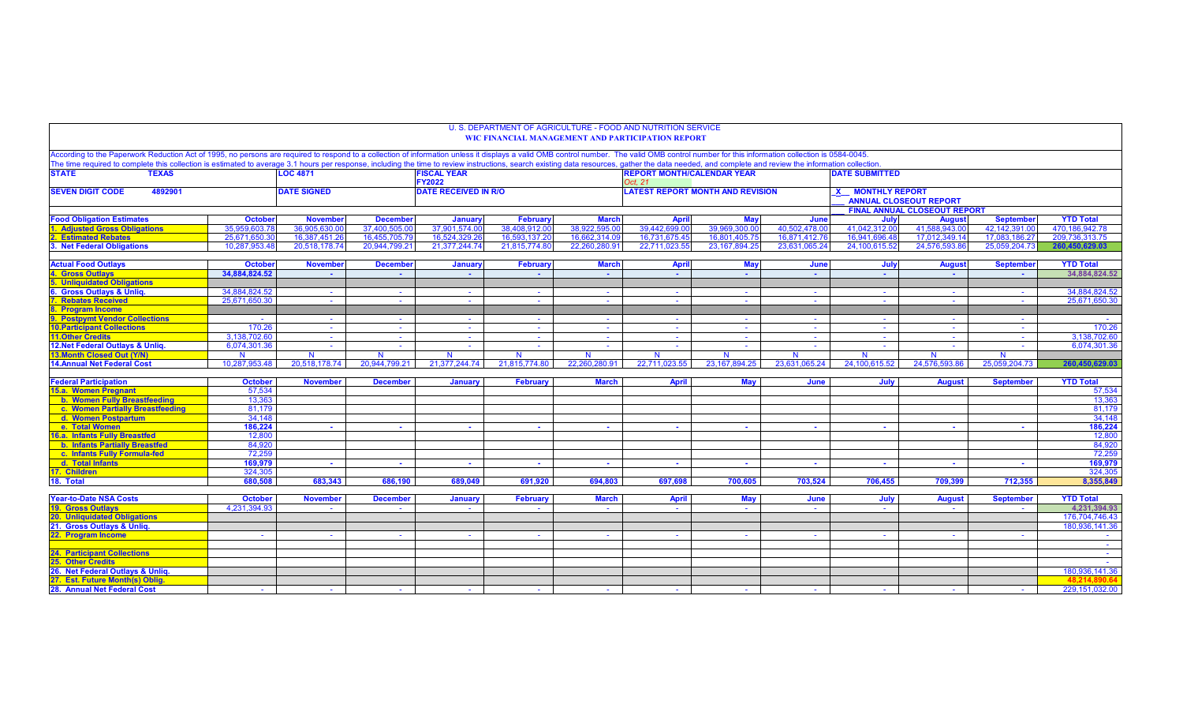|                                                                                                                                                                                                                                |                |                                                                                                                                                                                                                                                                         |                             |                             | U. S. DEPARTMENT OF AGRICULTURE - FOOD AND NUTRITION SERVICE<br><b>WIC FINANCIAL MANAGEMENT AND PARTICIPATION REPORT</b> |                |                               |                                                            |               |                  |                                     |                  |                   |  |
|--------------------------------------------------------------------------------------------------------------------------------------------------------------------------------------------------------------------------------|----------------|-------------------------------------------------------------------------------------------------------------------------------------------------------------------------------------------------------------------------------------------------------------------------|-----------------------------|-----------------------------|--------------------------------------------------------------------------------------------------------------------------|----------------|-------------------------------|------------------------------------------------------------|---------------|------------------|-------------------------------------|------------------|-------------------|--|
|                                                                                                                                                                                                                                |                |                                                                                                                                                                                                                                                                         |                             |                             |                                                                                                                          |                |                               |                                                            |               |                  |                                     |                  |                   |  |
| According to the Paperwork Reduction Act of 1995, no persons are required to respond to a collection of information unless it displays a valid OMB control number. The valid OMB control number for this information collectio |                |                                                                                                                                                                                                                                                                         |                             |                             |                                                                                                                          |                |                               |                                                            |               |                  |                                     |                  |                   |  |
| <b>STATE</b><br><b>TEXAS</b>                                                                                                                                                                                                   |                | The time required to complete this collection is estimated to average 3.1 hours per response, including the time to review instructions, search existing data resources, gather the data needed, and complete and review the i<br><b>LOC 4871</b><br><b>FISCAL YEAR</b> |                             |                             |                                                                                                                          |                |                               | <b>REPORT MONTH/CALENDAR YEAR</b><br><b>DATE SUBMITTED</b> |               |                  |                                     |                  |                   |  |
|                                                                                                                                                                                                                                |                |                                                                                                                                                                                                                                                                         |                             | <b>FY2022</b>               |                                                                                                                          |                | Oct. 21                       |                                                            |               |                  |                                     |                  |                   |  |
| <b>SEVEN DIGIT CODE</b><br>4892901                                                                                                                                                                                             |                | <b>DATE SIGNED</b>                                                                                                                                                                                                                                                      |                             | <b>DATE RECEIVED IN R/O</b> |                                                                                                                          |                |                               | <b>LATEST REPORT MONTH AND REVISION</b>                    |               | X MONTHLY REPORT |                                     |                  |                   |  |
|                                                                                                                                                                                                                                |                |                                                                                                                                                                                                                                                                         |                             |                             |                                                                                                                          |                | <b>ANNUAL CLOSEOUT REPORT</b> |                                                            |               |                  |                                     |                  |                   |  |
|                                                                                                                                                                                                                                |                |                                                                                                                                                                                                                                                                         |                             |                             |                                                                                                                          |                |                               |                                                            |               |                  | <b>FINAL ANNUAL CLOSEOUT REPORT</b> |                  |                   |  |
| <b>Food Obligation Estimates</b>                                                                                                                                                                                               | <b>October</b> | <b>November</b>                                                                                                                                                                                                                                                         | <b>December</b>             | <b>January</b>              | February                                                                                                                 | <b>March</b>   | <b>April</b>                  | <b>May</b>                                                 | June          | July             | <b>August</b>                       | <b>September</b> | <b>YTD Total</b>  |  |
| <b>Adjusted Gross Obligations</b>                                                                                                                                                                                              | 35.959.603.78  | 36.905.630.00                                                                                                                                                                                                                                                           | 37.400.505.0                | 37.901.574.00               | 38.408.912.0                                                                                                             | 38.922.595.00  | 39.442.699.0                  | 39.969.300.00                                              | 40.502.478.00 | 41.042.312.00    | 41.588.943.0                        | 42.142.391.00    | 470.186.942.78    |  |
| 2. Estimated Rebates                                                                                                                                                                                                           | 25.671.650.30  | 16,387,451.26                                                                                                                                                                                                                                                           | 16,455,705.7                | 16,524,329.26               | 16,593,137.2                                                                                                             | 16,662,314.09  | 16,731,675.45                 | 16,801,405.75                                              | 16,871,412.76 | 16,941,696.48    | 17.012.349.14                       | 17,083,186.27    | 209,736,313.75    |  |
| 3. Net Federal Obligations                                                                                                                                                                                                     | 10.287.953.48  | 20.518.178.74                                                                                                                                                                                                                                                           | 20.944.799.21               | 21.377.244.74               | 21.815.774.80                                                                                                            | 22.260.280.91  | 22.711.023.55                 | 23.167.894.25                                              | 23.631.065.24 | 24.100.615.52    | 24.576.593.86                       | 25.059.204.73    | 260.450.629.03    |  |
| <b>Actual Food Outlays</b>                                                                                                                                                                                                     | <b>October</b> | <b>November</b>                                                                                                                                                                                                                                                         | <b>December</b>             | <b>January</b>              | February                                                                                                                 | <b>March</b>   | <b>April</b>                  | <b>May</b>                                                 | June          | July             | <b>August</b>                       | <b>September</b> | <b>YTD Total</b>  |  |
| 4. Gross Outlays                                                                                                                                                                                                               | 34,884,824.52  |                                                                                                                                                                                                                                                                         | $\sim$                      | $\sim$                      | $\sim$                                                                                                                   | $\sim$         | $\sim$                        | $\sim$                                                     | $\sim$        | $\sim$           | $\sim$                              | . .              | 34,884,824.52     |  |
| <b>5. Unliquidated Obligations</b>                                                                                                                                                                                             |                |                                                                                                                                                                                                                                                                         |                             |                             |                                                                                                                          |                |                               |                                                            |               |                  |                                     |                  |                   |  |
| 6. Gross Outlays & Unliq.                                                                                                                                                                                                      | 34,884,824.52  |                                                                                                                                                                                                                                                                         |                             | $\sim$                      | $\sim$                                                                                                                   |                |                               |                                                            | $\sim$        | $\sim$           | $\sim$                              | $\sim$           | 34,884,824.52     |  |
| <b>7. Rebates Received</b>                                                                                                                                                                                                     | 25.671.650.30  |                                                                                                                                                                                                                                                                         | $\mathcal{L}_{\mathcal{A}}$ | $\mathbf{r}$                | $\sim$                                                                                                                   | $\sim$         |                               |                                                            | $\sim$        | $\sim$           | $\sim$                              | $\sim$           | 25.671.650.30     |  |
| 8. Program Income                                                                                                                                                                                                              |                |                                                                                                                                                                                                                                                                         |                             |                             |                                                                                                                          |                |                               |                                                            |               |                  |                                     |                  |                   |  |
| 9. Postpymt Vendor Collections                                                                                                                                                                                                 | $\sim$         | <b>Section</b>                                                                                                                                                                                                                                                          | $\sim$ $-$                  | $\sim$                      | $\sim$                                                                                                                   | $\sim$         | $\sim$                        | $\sim$                                                     | $\sim$        | $\sim$           | $\sim$                              | $\sim$           | <b>Contractor</b> |  |
| <b>10. Participant Collections</b>                                                                                                                                                                                             | 170.26         | $\sim$ $-$                                                                                                                                                                                                                                                              | $\sim$ $-$                  | $\sim$                      | $\sim$                                                                                                                   | $\sim$         | $\sim$ $-$                    | $\sim$ $-$                                                 | $\sim$        | $\sim 10^{-1}$   | $\sim$                              | $\sim$           | 170.26            |  |
| <b>11.Other Credits</b>                                                                                                                                                                                                        | 3.138.702.60   | $\sim$                                                                                                                                                                                                                                                                  | $\sim$                      | $\sim$                      | $\sim$                                                                                                                   | $\sim$         | $\sim$                        | $\sim$                                                     | $\sim$        | $\sim$           | $\sim$                              | $\sim$           | 3,138,702.60      |  |
| 12. Net Federal Outlays & Unlig                                                                                                                                                                                                | 6,074,301.36   | <b>Section</b>                                                                                                                                                                                                                                                          | $\sim$                      | $\sim$                      | $\sim$                                                                                                                   | <b>Section</b> | <b>Section</b>                | <b>Section</b>                                             | $\sim$        | $\sim$           | $\sim$                              | $\sim$           | 6,074,301.36      |  |
| <b>13.Month Closed Out (Y/N)</b>                                                                                                                                                                                               | $\mathbf N$    | N                                                                                                                                                                                                                                                                       | N                           |                             | N                                                                                                                        | $\mathbf N$    | N                             | N                                                          | $\mathbf N$   | N                | N                                   | N                |                   |  |
| <b>14. Annual Net Federal Cost</b>                                                                                                                                                                                             | 10.287.953.48  | 20,518,178.74                                                                                                                                                                                                                                                           | 20,944,799.21               | 21,377,244.74               | 21,815,774.80                                                                                                            | 22.260.280.91  | 22.711.023.55                 | 23.167.894.25                                              | 23.631.065.24 | 24,100,615.52    | 24.576.593.86                       | 25.059.204.73    | 260.450.629.03    |  |
| <b>Federal Participation</b>                                                                                                                                                                                                   | <b>October</b> | <b>November</b>                                                                                                                                                                                                                                                         | <b>December</b>             | <b>January</b>              | <b>February</b>                                                                                                          | <b>March</b>   | <b>April</b>                  | Mav                                                        | June          | July             | <b>August</b>                       | <b>September</b> | <b>YTD Total</b>  |  |
| 15.a. Women Pregnant                                                                                                                                                                                                           | 57.534         |                                                                                                                                                                                                                                                                         |                             |                             |                                                                                                                          |                |                               |                                                            |               |                  |                                     |                  | 57,534            |  |
| b. Women Fully Breastfeeding                                                                                                                                                                                                   | 13,363         |                                                                                                                                                                                                                                                                         |                             |                             |                                                                                                                          |                |                               |                                                            |               |                  |                                     |                  | 13,363            |  |
| c. Women Partially Breastfeeding                                                                                                                                                                                               | 81,179         |                                                                                                                                                                                                                                                                         |                             |                             |                                                                                                                          |                |                               |                                                            |               |                  |                                     |                  | 81,179            |  |
| d. Women Postpartum                                                                                                                                                                                                            | 34,148         |                                                                                                                                                                                                                                                                         |                             |                             |                                                                                                                          |                |                               |                                                            |               |                  |                                     |                  | 34,148            |  |
| e. Total Women                                                                                                                                                                                                                 | 186,224        |                                                                                                                                                                                                                                                                         |                             |                             | . .                                                                                                                      |                | $\sim$                        | $\sim$                                                     | $\sim$        | . .              | . .                                 | $\sim$           | 186,224           |  |
| 16.a. Infants Fully Breastfed                                                                                                                                                                                                  | 12,800         |                                                                                                                                                                                                                                                                         |                             |                             |                                                                                                                          |                |                               |                                                            |               |                  |                                     |                  | 12,800            |  |
| <b>b. Infants Partially Breastfed</b>                                                                                                                                                                                          | 84,920         |                                                                                                                                                                                                                                                                         |                             |                             |                                                                                                                          |                |                               |                                                            |               |                  |                                     |                  | 84,920            |  |
| c. Infants Fully Formula-fed                                                                                                                                                                                                   | 72.259         |                                                                                                                                                                                                                                                                         |                             |                             |                                                                                                                          |                |                               |                                                            |               |                  |                                     |                  | 72,259            |  |
| d. Total Infants                                                                                                                                                                                                               | 169,979        | $\sim$                                                                                                                                                                                                                                                                  | $\sim$                      | $\sim$                      | $\sim$                                                                                                                   | <b>College</b> | $\sim$                        | . н.                                                       | $\sim$        | a.               | $\sim$                              | . н.             | 169,979           |  |
| 17. Children                                                                                                                                                                                                                   | 324.305        |                                                                                                                                                                                                                                                                         |                             |                             |                                                                                                                          |                |                               |                                                            |               |                  |                                     |                  | 324.305           |  |
| 18. Total                                                                                                                                                                                                                      | 680,508        | 683,343                                                                                                                                                                                                                                                                 | 686,190                     | 689.049                     | 691,920                                                                                                                  | 694,803        | 697,698                       | 700,605                                                    | 703,524       | 706,455          | 709,399                             | 712,355          | 8,355,849         |  |
| <b>Year-to-Date NSA Costs</b>                                                                                                                                                                                                  | <b>October</b> | <b>November</b>                                                                                                                                                                                                                                                         | <b>December</b>             | January                     | <b>February</b>                                                                                                          | <b>March</b>   | <b>April</b>                  | May                                                        | June          | July             |                                     | <b>September</b> | <b>YTD Total</b>  |  |
| <b>19. Gross Outlavs</b>                                                                                                                                                                                                       | 4.231.394.93   |                                                                                                                                                                                                                                                                         |                             |                             |                                                                                                                          |                |                               |                                                            | $\sim$        | $\sim$           | <b>August</b>                       |                  | 4.231.394.93      |  |
| 20. Unliquidated Obligations                                                                                                                                                                                                   |                |                                                                                                                                                                                                                                                                         |                             |                             |                                                                                                                          |                |                               |                                                            |               |                  |                                     |                  | 176,704,746.43    |  |
| 21. Gross Outlays & Unlig.                                                                                                                                                                                                     |                |                                                                                                                                                                                                                                                                         |                             |                             |                                                                                                                          |                |                               |                                                            |               |                  |                                     |                  | 180.936.141.36    |  |
| 22. Program Income                                                                                                                                                                                                             | $\sim$         | $\sim$                                                                                                                                                                                                                                                                  | $\sim$                      | $\sim$                      | $\sim$                                                                                                                   | $\sim$         | $\sim$                        | <b>Section</b>                                             | $\sim$        | $\sim$           | $\sim$                              | $\sim$           | <b>Contract</b>   |  |
|                                                                                                                                                                                                                                |                |                                                                                                                                                                                                                                                                         |                             |                             |                                                                                                                          |                |                               |                                                            |               |                  |                                     |                  | <b>Contract</b>   |  |
| <b>24. Participant Collections</b>                                                                                                                                                                                             |                |                                                                                                                                                                                                                                                                         |                             |                             |                                                                                                                          |                |                               |                                                            |               |                  |                                     |                  | <b>Contract</b>   |  |
| 25. Other Credits                                                                                                                                                                                                              |                |                                                                                                                                                                                                                                                                         |                             |                             |                                                                                                                          |                |                               |                                                            |               |                  |                                     |                  | <b>Contract</b>   |  |
| 26. Net Federal Outlays & Unlig.                                                                                                                                                                                               |                |                                                                                                                                                                                                                                                                         |                             |                             |                                                                                                                          |                |                               |                                                            |               |                  |                                     |                  | 180,936,141.36    |  |
| 27. Est. Future Month(s) Oblig                                                                                                                                                                                                 |                |                                                                                                                                                                                                                                                                         |                             |                             |                                                                                                                          |                |                               |                                                            |               |                  |                                     |                  | 48.21             |  |
| 28. Annual Net Federal Cost                                                                                                                                                                                                    |                |                                                                                                                                                                                                                                                                         |                             |                             |                                                                                                                          |                |                               |                                                            |               |                  |                                     |                  | 229,151,032.00    |  |